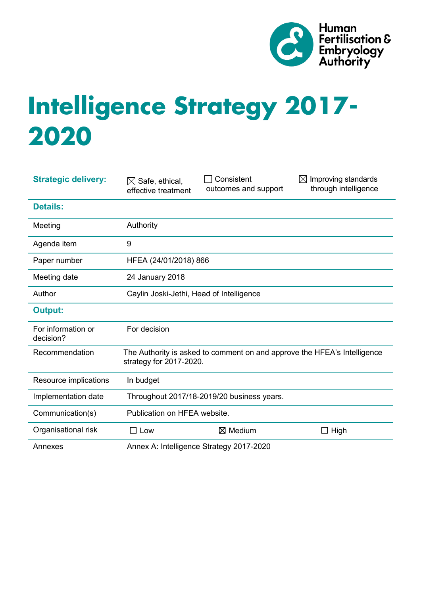

# **Intelligence Strategy 2017- 2020**

| <b>Strategic delivery:</b>      | $\boxtimes$ Safe, ethical,<br>effective treatment                                                   | Consistent<br>outcomes and support | $\boxtimes$ Improving standards<br>through intelligence |
|---------------------------------|-----------------------------------------------------------------------------------------------------|------------------------------------|---------------------------------------------------------|
| <b>Details:</b>                 |                                                                                                     |                                    |                                                         |
| Meeting                         | Authority                                                                                           |                                    |                                                         |
| Agenda item                     | 9                                                                                                   |                                    |                                                         |
| Paper number                    | HFEA (24/01/2018) 866                                                                               |                                    |                                                         |
| Meeting date                    | 24 January 2018                                                                                     |                                    |                                                         |
| Author                          | Caylin Joski-Jethi, Head of Intelligence                                                            |                                    |                                                         |
| <b>Output:</b>                  |                                                                                                     |                                    |                                                         |
| For information or<br>decision? | For decision                                                                                        |                                    |                                                         |
| Recommendation                  | The Authority is asked to comment on and approve the HFEA's Intelligence<br>strategy for 2017-2020. |                                    |                                                         |
| Resource implications           | In budget                                                                                           |                                    |                                                         |
| Implementation date             | Throughout 2017/18-2019/20 business years.                                                          |                                    |                                                         |
| Communication(s)                | Publication on HFEA website.                                                                        |                                    |                                                         |
| Organisational risk             | $\square$ Low                                                                                       | $\boxtimes$ Medium                 | $\Box$ High                                             |
| Annexes                         | Annex A: Intelligence Strategy 2017-2020                                                            |                                    |                                                         |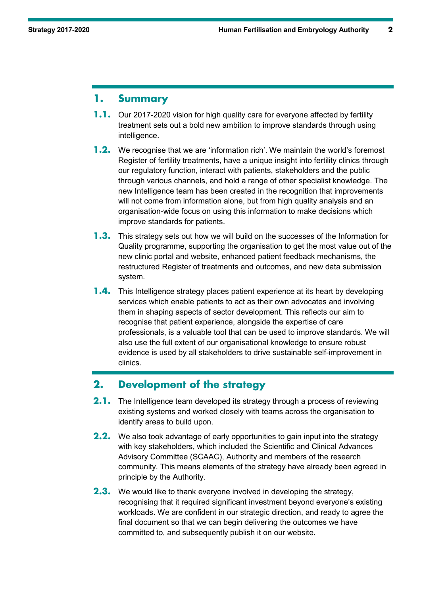# **1. Summary**

- **1.1.** Our 2017-2020 vision for high quality care for everyone affected by fertility treatment sets out a bold new ambition to improve standards through using intelligence.
- **1.2.** We recognise that we are 'information rich'. We maintain the world's foremost Register of fertility treatments, have a unique insight into fertility clinics through our regulatory function, interact with patients, stakeholders and the public through various channels, and hold a range of other specialist knowledge. The new Intelligence team has been created in the recognition that improvements will not come from information alone, but from high quality analysis and an organisation-wide focus on using this information to make decisions which improve standards for patients.
- **1.3.** This strategy sets out how we will build on the successes of the Information for Quality programme, supporting the organisation to get the most value out of the new clinic portal and website, enhanced patient feedback mechanisms, the restructured Register of treatments and outcomes, and new data submission system.
- **1.4.** This Intelligence strategy places patient experience at its heart by developing services which enable patients to act as their own advocates and involving them in shaping aspects of sector development. This reflects our aim to recognise that patient experience, alongside the expertise of care professionals, is a valuable tool that can be used to improve standards. We will also use the full extent of our organisational knowledge to ensure robust evidence is used by all stakeholders to drive sustainable self-improvement in clinics.

# **2. Development of the strategy**

- **2.1.** The Intelligence team developed its strategy through a process of reviewing existing systems and worked closely with teams across the organisation to identify areas to build upon.
- **2.2.** We also took advantage of early opportunities to gain input into the strategy with key stakeholders, which included the Scientific and Clinical Advances Advisory Committee (SCAAC), Authority and members of the research community. This means elements of the strategy have already been agreed in principle by the Authority.
- **2.3.** We would like to thank everyone involved in developing the strategy, recognising that it required significant investment beyond everyone's existing workloads. We are confident in our strategic direction, and ready to agree the final document so that we can begin delivering the outcomes we have committed to, and subsequently publish it on our website.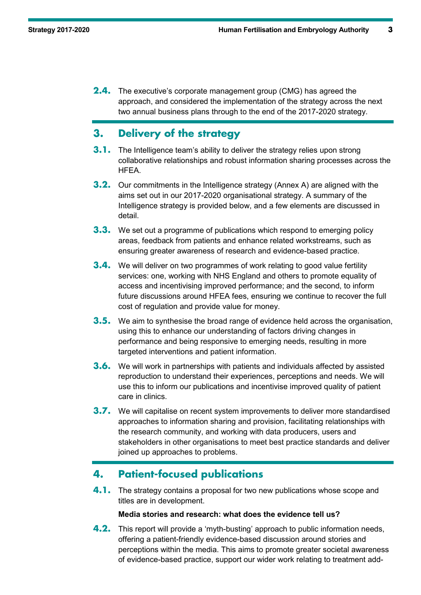**2.4.** The executive's corporate management group (CMG) has agreed the approach, and considered the implementation of the strategy across the next two annual business plans through to the end of the 2017-2020 strategy.

# **3. Delivery of the strategy**

- **3.1.** The Intelligence team's ability to deliver the strategy relies upon strong collaborative relationships and robust information sharing processes across the HFEA.
- **3.2.** Our commitments in the Intelligence strategy (Annex A) are aligned with the aims set out in our 2017-2020 organisational strategy. A summary of the Intelligence strategy is provided below, and a few elements are discussed in detail.
- **3.3.** We set out a programme of publications which respond to emerging policy areas, feedback from patients and enhance related workstreams, such as ensuring greater awareness of research and evidence-based practice.
- **3.4.** We will deliver on two programmes of work relating to good value fertility services: one, working with NHS England and others to promote equality of access and incentivising improved performance; and the second, to inform future discussions around HFEA fees, ensuring we continue to recover the full cost of regulation and provide value for money.
- **3.5.** We aim to synthesise the broad range of evidence held across the organisation, using this to enhance our understanding of factors driving changes in performance and being responsive to emerging needs, resulting in more targeted interventions and patient information.
- **3.6.** We will work in partnerships with patients and individuals affected by assisted reproduction to understand their experiences, perceptions and needs. We will use this to inform our publications and incentivise improved quality of patient care in clinics.
- **3.7.** We will capitalise on recent system improvements to deliver more standardised approaches to information sharing and provision, facilitating relationships with the research community, and working with data producers, users and stakeholders in other organisations to meet best practice standards and deliver joined up approaches to problems.

# **4. Patient-focused publications**

**4.1.** The strategy contains a proposal for two new publications whose scope and titles are in development.

#### **Media stories and research: what does the evidence tell us?**

**4.2.** This report will provide a 'myth-busting' approach to public information needs, offering a patient-friendly evidence-based discussion around stories and perceptions within the media. This aims to promote greater societal awareness of evidence-based practice, support our wider work relating to treatment add-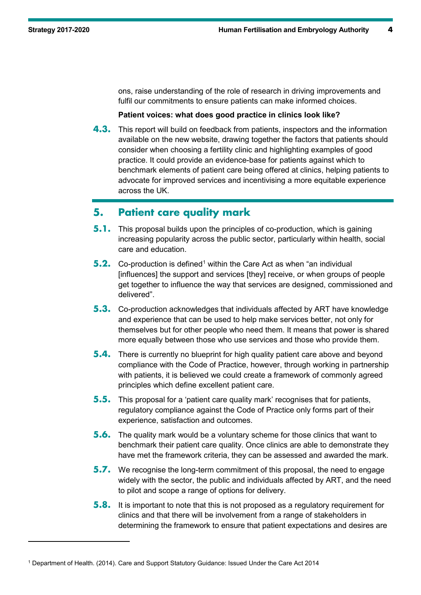-

ons, raise understanding of the role of research in driving improvements and fulfil our commitments to ensure patients can make informed choices.

#### **Patient voices: what does good practice in clinics look like?**

**4.3.** This report will build on feedback from patients, inspectors and the information available on the new website, drawing together the factors that patients should consider when choosing a fertility clinic and highlighting examples of good practice. It could provide an evidence-base for patients against which to benchmark elements of patient care being offered at clinics, helping patients to advocate for improved services and incentivising a more equitable experience across the UK.

## **5. Patient care quality mark**

- **5.1.** This proposal builds upon the principles of co-production, which is gaining increasing popularity across the public sector, particularly within health, social care and education.
- **5.2.** Co-production is defined<sup>[1](#page-3-0)</sup> within the Care Act as when "an individual [influences] the support and services [they] receive, or when groups of people get together to influence the way that services are designed, commissioned and delivered".
- **5.3.** Co-production acknowledges that individuals affected by ART have knowledge and experience that can be used to help make services better, not only for themselves but for other people who need them. It means that power is shared more equally between those who use services and those who provide them.
- **5.4.** There is currently no blueprint for high quality patient care above and beyond compliance with the Code of Practice, however, through working in partnership with patients, it is believed we could create a framework of commonly agreed principles which define excellent patient care.
- **5.5.** This proposal for a 'patient care quality mark' recognises that for patients, regulatory compliance against the Code of Practice only forms part of their experience, satisfaction and outcomes.
- **5.6.** The quality mark would be a voluntary scheme for those clinics that want to benchmark their patient care quality. Once clinics are able to demonstrate they have met the framework criteria, they can be assessed and awarded the mark.
- **5.7.** We recognise the long-term commitment of this proposal, the need to engage widely with the sector, the public and individuals affected by ART, and the need to pilot and scope a range of options for delivery.
- **5.8.** It is important to note that this is not proposed as a regulatory requirement for clinics and that there will be involvement from a range of stakeholders in determining the framework to ensure that patient expectations and desires are

<span id="page-3-0"></span><sup>1</sup> Department of Health. (2014). Care and Support Statutory Guidance: Issued Under the Care Act 2014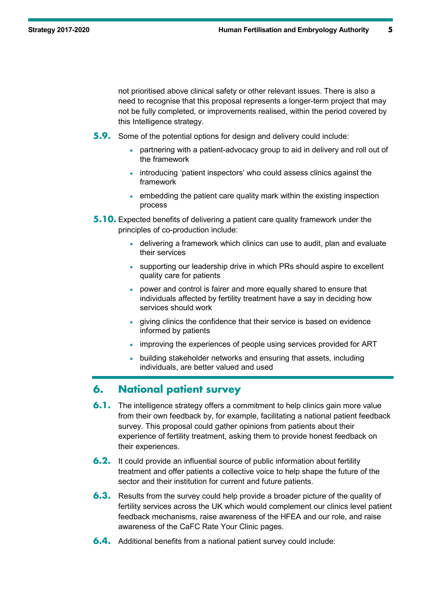not prioritised above clinical safety or other relevant issues. There is also a need to recognise that this proposal represents a longer-term project that may not be fully completed, or improvements realised, within the period covered by this Intelligence strategy.

- **5.9.** Some of the potential options for design and delivery could include:
	- partnering with a patient-advocacy group to aid in delivery and roll out of the framework
	- introducing 'patient inspectors' who could assess clinics against the framework
	- embedding the patient care quality mark within the existing inspection process
- **5.10.** Expected benefits of delivering a patient care quality framework under the principles of co-production include:
	- delivering a framework which clinics can use to audit, plan and evaluate their services
	- supporting our leadership drive in which PRs should aspire to excellent quality care for patients
	- power and control is fairer and more equally shared to ensure that individuals affected by fertility treatment have a say in deciding how services should work
	- giving clinics the confidence that their service is based on evidence informed by patients
	- improving the experiences of people using services provided for ART
	- building stakeholder networks and ensuring that assets, including individuals, are better valued and used

# **6. National patient survey**

- **6.1.** The intelligence strategy offers a commitment to help clinics gain more value from their own feedback by, for example, facilitating a national patient feedback survey. This proposal could gather opinions from patients about their experience of fertility treatment, asking them to provide honest feedback on their experiences.
- **6.2.** It could provide an influential source of public information about fertility treatment and offer patients a collective voice to help shape the future of the sector and their institution for current and future patients.
- **6.3.** Results from the survey could help provide a broader picture of the quality of fertility services across the UK which would complement our clinics level patient feedback mechanisms, raise awareness of the HFEA and our role, and raise awareness of the CaFC Rate Your Clinic pages.
- **6.4.** Additional benefits from a national patient survey could include: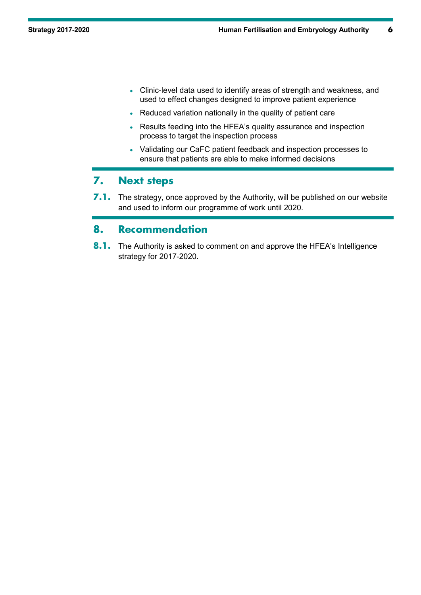- Clinic-level data used to identify areas of strength and weakness, and used to effect changes designed to improve patient experience
- Reduced variation nationally in the quality of patient care
- Results feeding into the HFEA's quality assurance and inspection process to target the inspection process
- Validating our CaFC patient feedback and inspection processes to ensure that patients are able to make informed decisions

## **7. Next steps**

**7.1.** The strategy, once approved by the Authority, will be published on our website and used to inform our programme of work until 2020.

# **8. Recommendation**

**8.1.** The Authority is asked to comment on and approve the HFEA's Intelligence strategy for 2017-2020.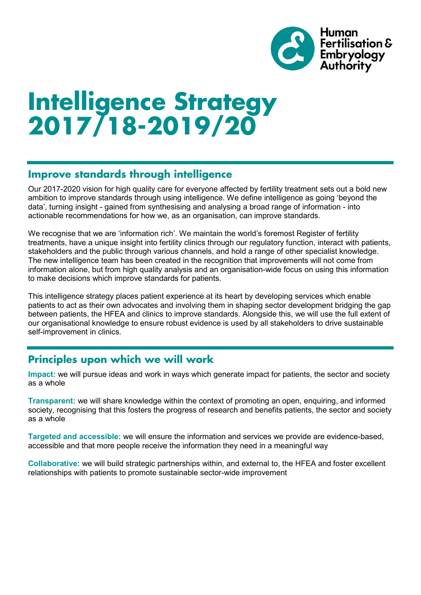

# **Intelligence Strategy 2017/18-2019/20**

# **Improve standards through intelligence**

Our 2017-2020 vision for high quality care for everyone affected by fertility treatment sets out a bold new ambition to improve standards through using intelligence. We define intelligence as going 'beyond the data', turning insight - gained from synthesising and analysing a broad range of information - into actionable recommendations for how we, as an organisation, can improve standards.

We recognise that we are 'information rich'. We maintain the world's foremost Register of fertility treatments, have a unique insight into fertility clinics through our regulatory function, interact with patients, stakeholders and the public through various channels, and hold a range of other specialist knowledge. The new intelligence team has been created in the recognition that improvements will not come from information alone, but from high quality analysis and an organisation-wide focus on using this information to make decisions which improve standards for patients.

This intelligence strategy places patient experience at its heart by developing services which enable patients to act as their own advocates and involving them in shaping sector development bridging the gap between patients, the HFEA and clinics to improve standards. Alongside this, we will use the full extent of our organisational knowledge to ensure robust evidence is used by all stakeholders to drive sustainable self-improvement in clinics.

# **Principles upon which we will work**

**Impact:** we will pursue ideas and work in ways which generate impact for patients, the sector and society as a whole

**Transparent:** we will share knowledge within the context of promoting an open, enquiring, and informed society, recognising that this fosters the progress of research and benefits patients, the sector and society as a whole

**Targeted and accessible:** we will ensure the information and services we provide are evidence-based, accessible and that more people receive the information they need in a meaningful way

**Collaborative:** we will build strategic partnerships within, and external to, the HFEA and foster excellent relationships with patients to promote sustainable sector-wide improvement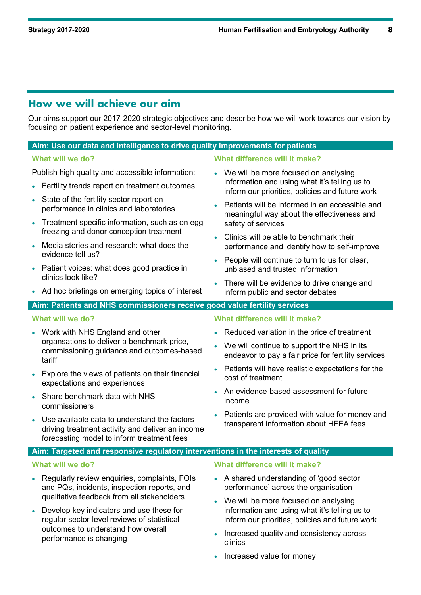# **How we will achieve our aim**

Our aims support our 2017-2020 strategic objectives and describe how we will work towards our vision by focusing on patient experience and sector-level monitoring.

## **Aim: Use our data and intelligence to drive quality improvements for patients**

Publish high quality and accessible information:

- Fertility trends report on treatment outcomes
- State of the fertility sector report on performance in clinics and laboratories
- Treatment specific information, such as on egg freezing and donor conception treatment
- Media stories and research: what does the evidence tell us?
- Patient voices: what does good practice in clinics look like?
- Ad hoc briefings on emerging topics of interest

**What will we do? What difference will it make?**

- We will be more focused on analysing information and using what it's telling us to inform our priorities, policies and future work
- Patients will be informed in an accessible and meaningful way about the effectiveness and safety of services
- Clinics will be able to benchmark their performance and identify how to self-improve
- People will continue to turn to us for clear. unbiased and trusted information
- There will be evidence to drive change and inform public and sector debates

## **Aim: Patients and NHS commissioners receive good value fertility services**

#### **What will we do? What difference will it make?**

- Work with NHS England and other organsations to deliver a benchmark price, commissioning guidance and outcomes-based tariff
- Explore the views of patients on their financial expectations and experiences
- Share benchmark data with NHS commissioners
- Use available data to understand the factors driving treatment activity and deliver an income forecasting model to inform treatment fees

• Reduced variation in the price of treatment

- We will continue to support the NHS in its endeavor to pay a fair price for fertility services
- Patients will have realistic expectations for the cost of treatment
- An evidence-based assessment for future income
- Patients are provided with value for money and transparent information about HFEA fees

## **Aim: Targeted and responsive regulatory interventions in the interests of quality**

- Regularly review enquiries, complaints, FOIs and PQs, incidents, inspection reports, and qualitative feedback from all stakeholders
- Develop key indicators and use these for regular sector-level reviews of statistical outcomes to understand how overall performance is changing

#### **What will we do? What difference will it make?**

- A shared understanding of 'good sector performance' across the organisation
- We will be more focused on analysing information and using what it's telling us to inform our priorities, policies and future work
- Increased quality and consistency across clinics
- Increased value for money